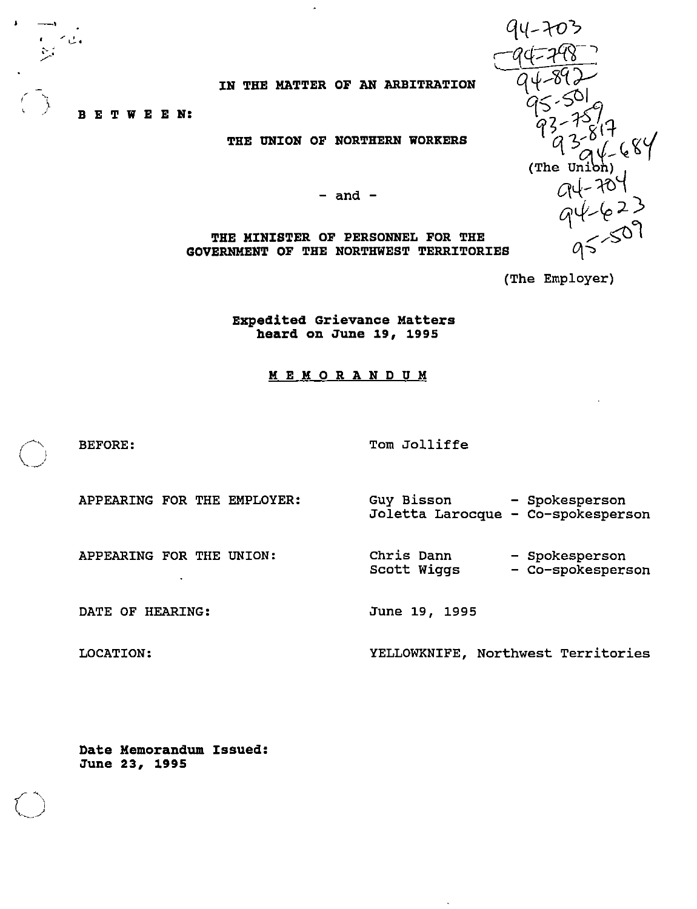IN THE MATTER OF AN ARBITRATION

f) BETWEEN:

THE UNION OF NORTHERN WORKERS

- and -

THE MINISTER OF PERSONNEL FOR THE GOVERNMENT OF THE NORTHWEST TERRITORIES

(The Employer)

94-703

Expedited Grievance Matters heard on June 19, 1995

#### MEMORANDUM

BEFORE: Tom Jolliffe

APPEARING FOR THE EMPLOYER;

Guy Bisson Spokesperson Joletta Larocque Co-spokesperson

APPEARING FOR THE UNION:

DATE OF HEARING:

LOCATION:

 $\int$ 

Chris Dann Scott Wiggs - Spokesperson Co-spokesperson

June 19, 1995

YELLOWKNIFE, Northwest Territories

Date Memorandum Issued: June 23, 1995

(The  $Un$ )  $(623)$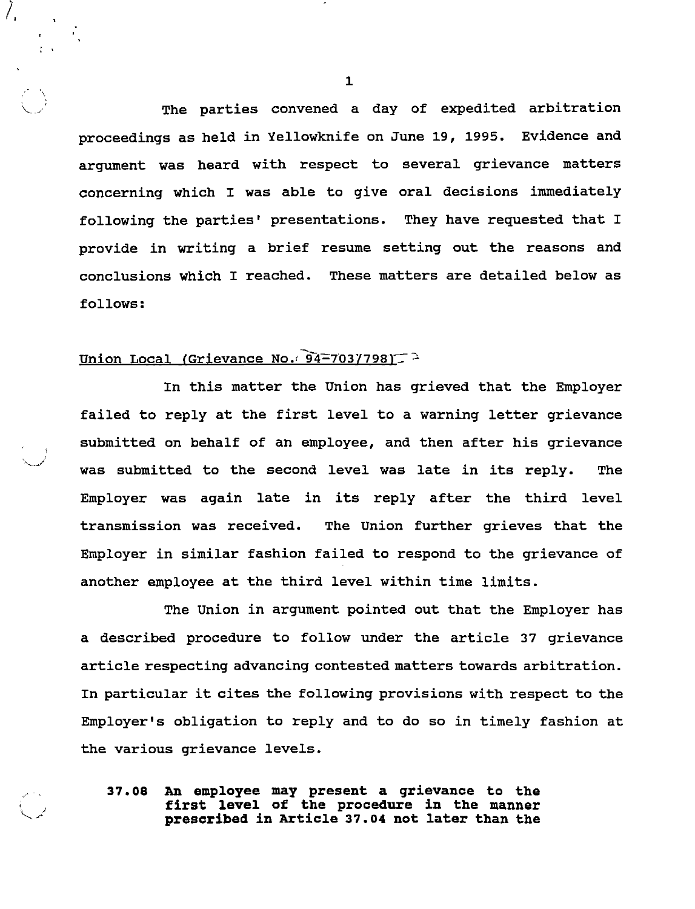The parties convened a day of expedited arbitration proceedings as held in Yellowknife on June 19, 1995. Evidence and argument was heard with respect to several grievance matters concerning which I was able to give oral decisions immediately following the parties' presentations. They have requested that <sup>I</sup> provide in writing a brief resume setting out the reasons and conclusions which <sup>I</sup> reached. These matters are detailed below as follows:

### Union Local (Grievance No.  $94-703/798$ )

In this matter the Union has grieved that the Employer failed to reply at the first level to <sup>a</sup> warning letter grievance submitted on behalf of an employee, and then after his grievance was submitted to the second level was late in its reply. The Employer was again late in its reply after the third level transmission was received. The Union further grieves that the Employer in similar fashion failed to respond to the grievance of another employee at the third level within time limits.

The Union in argument pointed out that the Employer has <sup>a</sup> described procedure to follow under the article 37 grievance article respecting advancing contested matters towards arbitration. In particular it cites the following provisions with respect to the Employer's obligation to reply and to do so in timely fashion at the various grievance levels.

37.08 An employee may present <sup>a</sup> grievance to the first level of the procedure in the manner prescribed in Article 37.04 not later than the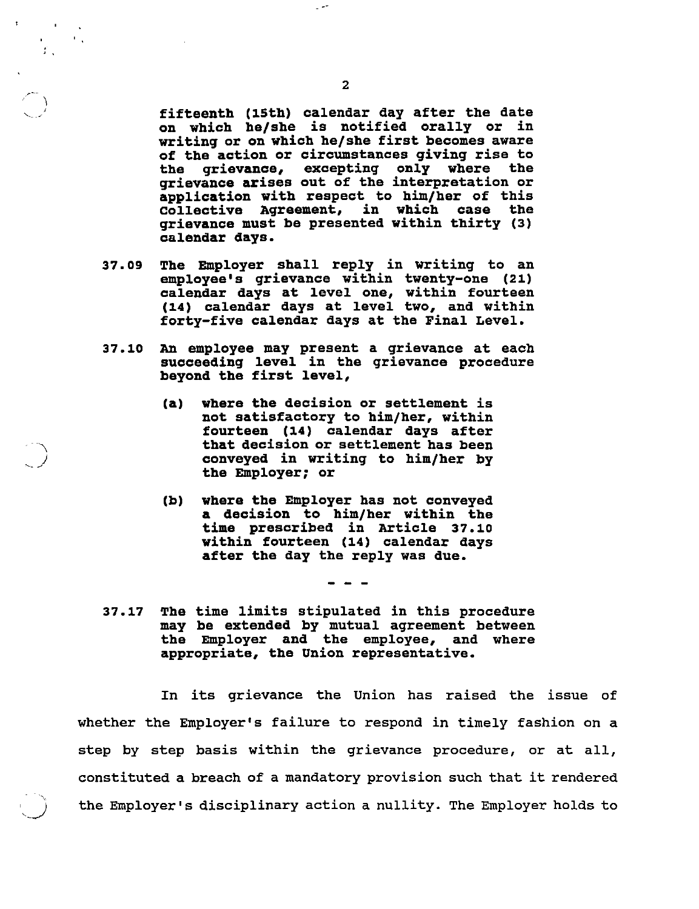fifteenth (15th) calendar day after the date on which he/she is notified orally or in writing or on which he/she first becomes aware of the action or circumstances giving rise to the grievance, excepting only where the grievance arises out of the interpretation or application with respect to him/her of this collective Agreement, in which case the grievance must be presented within thirty (3) calendar days.

- 37.09 The Employer shall reply in writing to an employee's grievance within twenty-one (21) calendar days at level one, within fourteen (14) calendar days at level two, and within forty-five calendar days at the Final Level.
- 37.10 An employee may present <sup>a</sup> grievance at each succeeding level in the grievance procedure beyond the first level,
	- (a) where the decision or settlement is not satisfactory to him/her, within fourteen (14) calendar days after that decision or settlement has been conveyed in writing to him/her by the Employer; or
	- (b) where the Employer has not conveyed <sup>a</sup> decision to him/her within the time prescribed in Article 37.10 within fourteen (14) calendar days after the day the reply was due.

37.17 The time limits stipulated in this procedure may be extended by mutual agreement between the Employer and the employee, and where appropriate, the Union representative.

In its grievance the Union has raised the issue of whether the Employer's failure to respond in timely fashion on <sup>a</sup> step by step basis within the grievance procedure, or at all, constituted <sup>a</sup> breach of <sup>a</sup> mandatory provision such that it rendered the Employer's disciplinary action <sup>a</sup> nullity. The Employer holds to

 $\sim$ 

 $\sim 10^{11}$  s

 $\mathcal{F}_{\mathcal{A}}$ 

 $\left(\begin{array}{c} \nearrow \\ \searrow \end{array}\right)$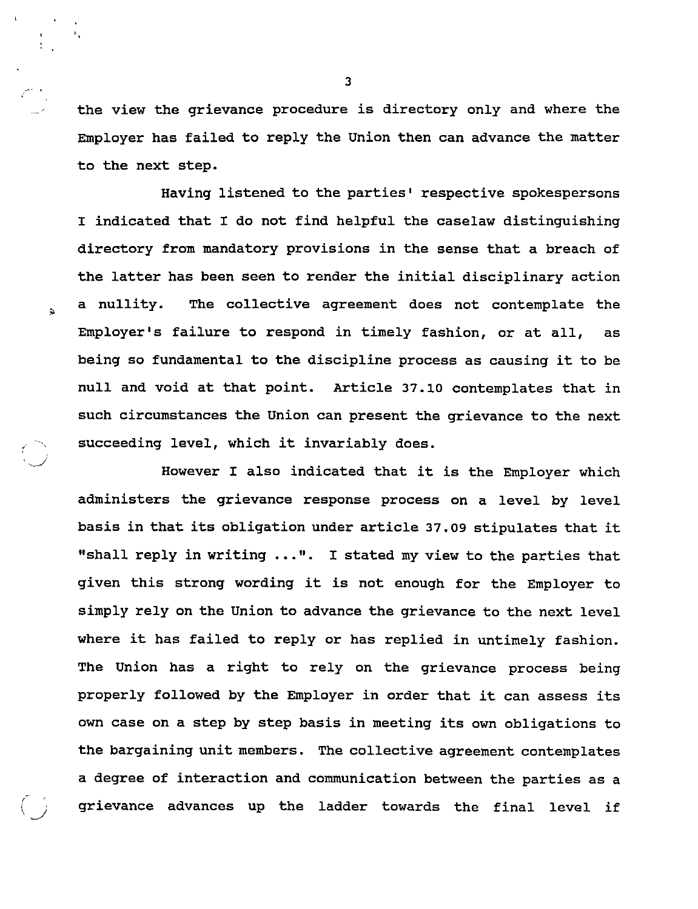the view the grievance procedure is directory only and where the Employer has failed to reply the Union then can advance the matter to the next step.

Having listened to the parties' respective spokespersons <sup>I</sup> indicated that <sup>I</sup> do not find helpful the caselaw distinguishing directory from mandatory provisions in the sense that <sup>a</sup> breach of the latter has been seen to render the initial disciplinary action <sup>a</sup> nullity. The collective agreement does not contemplate the Employer's failure to respond in timely fashion, or at all, as being so fundamental to the discipline process as causing it to be null and void at that point. Article 37-10 contemplates that in such circumstances the Union can present the grievance to the next succeeding level, which it invariably does.

 $\tilde{\mathbf{z}}$ 

However <sup>I</sup> also indicated that it is the Employer which administers the grievance response process on a level by level basis in that its obligation under article 37.09 stipulates that it "shall reply in writing ...". I stated my view to the parties that given this strong wording it is not enough for the Employer to simply rely on the Union to advance the grievance to the next level where it has failed to reply or has replied in untimely fashion. The Union has a right to rely on the grievance process being properly followed by the Employer in order that it can assess its own case on <sup>a</sup> step by step basis in meeting its own obligations to the bargaining unit members. The collective agreement contemplates a degree of interaction and communication between the parties as a grievance advances up the ladder towards the final level if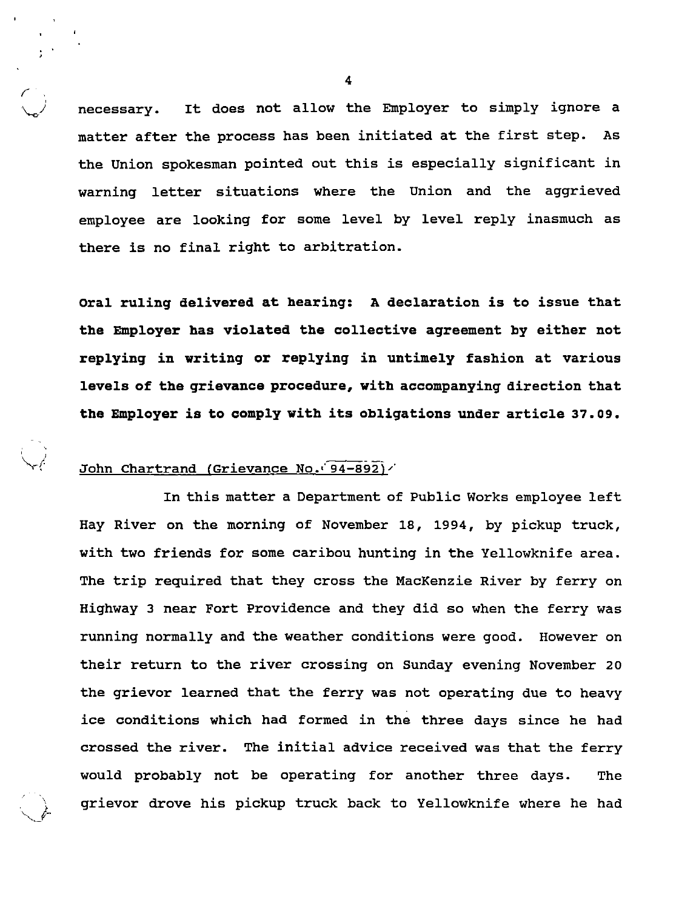necessary. It does not allow the Employer to simply ignore <sup>a</sup> matter after the process has been initiated at the first step. As the Union spokesman pointed out this is especially significant in warning letter situations where the Union and the aggrieved employee are looking for some level by level reply inasmuch as there is no final right to arbitration.

Oral ruling delivered at hearing: <sup>A</sup> declaration is to issue that the Employer has violated the collective agreement by either not replying in writing or replying in untimely fashion at various levels of the grievance procedure, with accompanying direction that the Employer is to comply with its obligations under article 37.09.

#### John Chartrand (Grievance No. 94-892)/

 $\epsilon^{\perp}$ 

 $\ddot{\phantom{1}}$ v\_

In this matter <sup>a</sup> Department of Public Works employee left Hay River on the morning of November 18, 1994, by pickup truck, with two friends for some caribou hunting in the Yellowknife area. The trip required that they cross the MacKenzie River by ferry on Highway <sup>3</sup> near Fort Providence and they did so when the ferry was running normally and the weather conditions were good. However on their return to the river crossing on Sunday evening November 20 the grievor learned that the ferry was not operating due to heavy ice conditions which had formed in the three days since he had crossed the river. The initial advice received was that the ferry would probably not be operating for another three days. The grievor drove his pickup truck back to Yellowknife where he had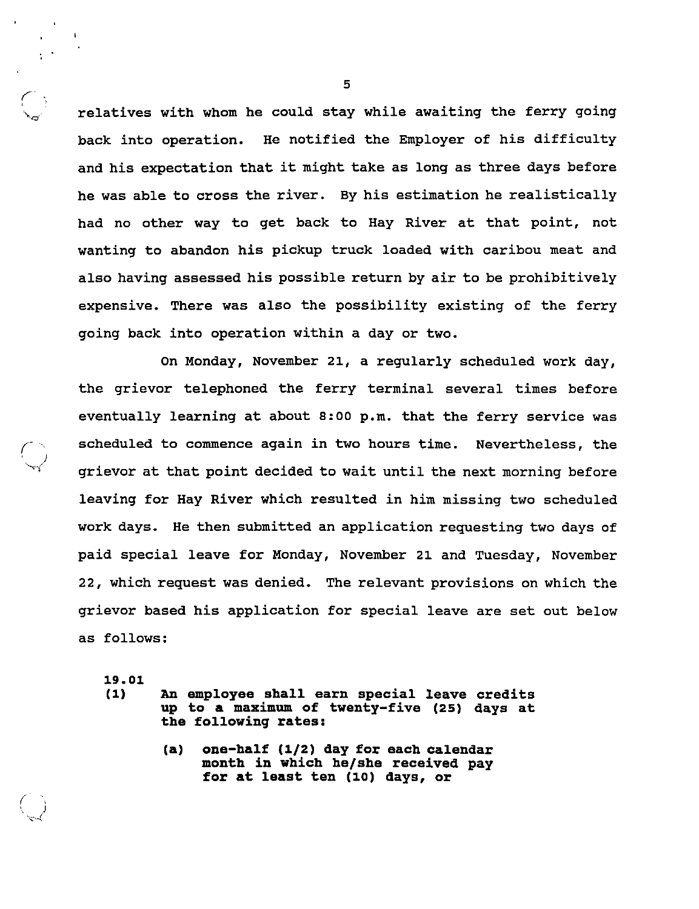relatives with whom he could stay while awaiting the ferry going back into operation. He notified the Employer of his difficulty and his expectation that it might take as long as three days before he was able to cross the river. By his estimation he realistically had no other way to get back to Hay River at that point, not wanting to abandon his pickup truck loaded with caribou meat and also having assessed his possible return by air to be prohibitively expensive. There was also the possibility existing of the ferry going back into operation within a day or two.

On Monday, November 21, <sup>a</sup> regularly scheduled work day, the grievor telephoned the ferry terminal several times before eventually learning at about 8:00 p.m. that the ferry service was scheduled to commence again in two hours time. Nevertheless, the grievor at that point decided to wait until the next morning before leaving for Hay River which resulted in him missing two scheduled work days. He then submitted an application requesting two days of paid special leave for Monday, November 21 and Tuesday, November 22, which request was denied. The relevant provisions on which the grievor based his application for special leave are set out below as follows:

19.01

r

- 
- (1) An employee shall earn special leave credits up to <sup>a</sup> maximum of twenty-five (25) days at the following rates:
	- (a) one-half (1/2) day for each calendar month in which he/she received pay for at least ten (10) days, or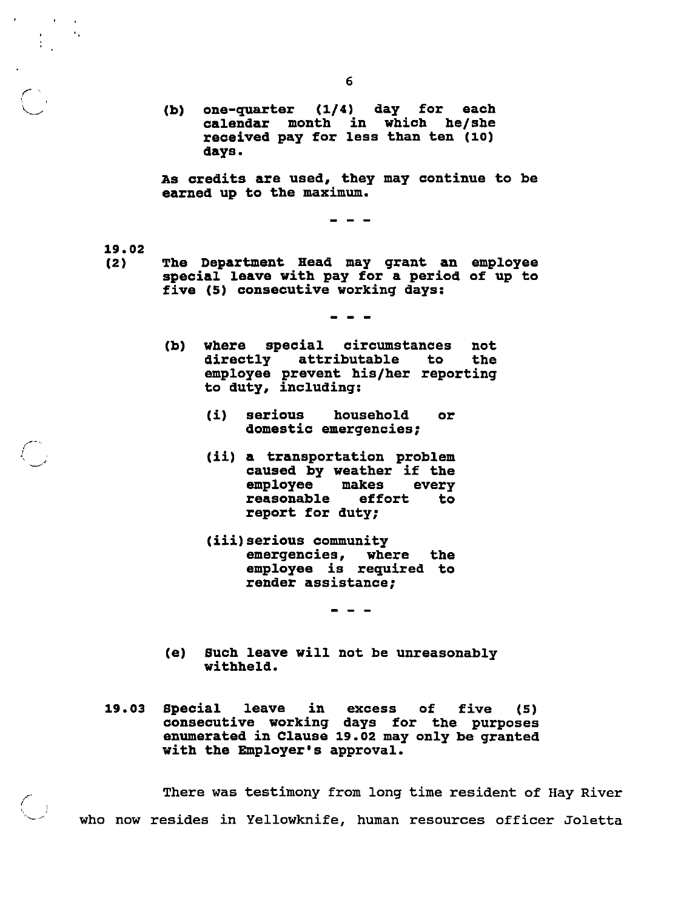(b) one-quarter (1/4) day for each calendar month in which he/she received pay for less than ten (10) days.

As credits are used, they may continue to be earned up to the maximum.

 $\frac{1}{2}$ 

19.02

r

 $\overline{\mathbb{C}}$ 

(2) The Department Head may grant an employee special leave with pay for <sup>a</sup> period of up to five (5) consecutive working days:

- (b) where special circumstances not<br>directly attributable to the directly attributable to employee prevent his/her reporting to duty, including:
	- (i) serious household or domestic emergencies;
	- (ii) <sup>a</sup> transportation problem caused by weather if the<br>employee makes every employee makes reasonable effort to report for duty;
	- (iii)serious community emergencies, where the employee is required to render assistance;

- - -

- (e) Such leave will not be unreasonably withheld.
- 19.03 Special leave in excess of five (5) consecutive working days for the purposes enumerated in Clause 19.02 may only be granted with the Employer's approval.

There was testimony from long time resident of Hay River who now resides in Yellowknife, human resources officer Joletta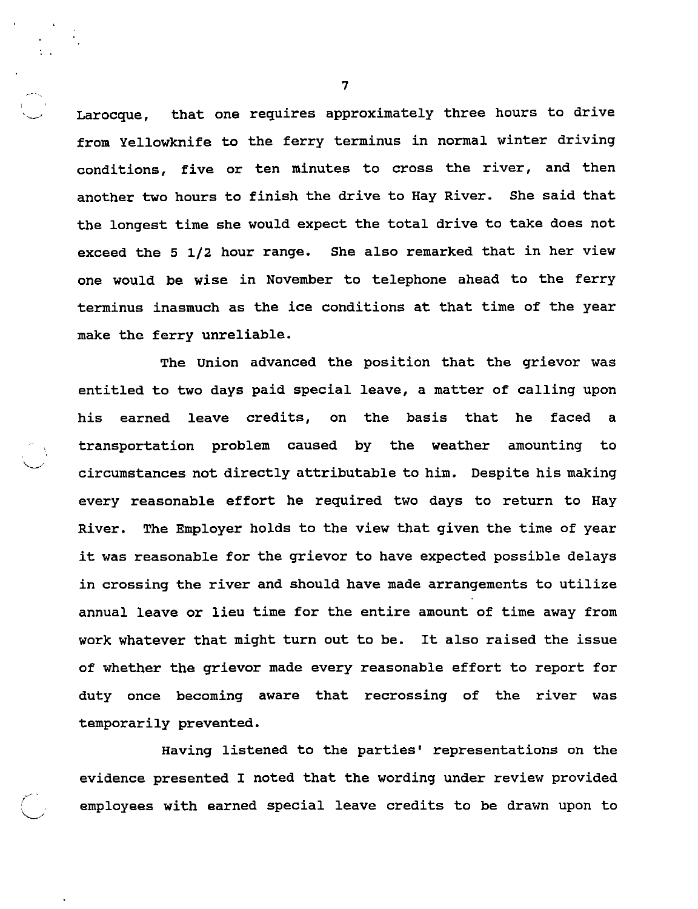Larocque, that one requires approximately three hours to drive from Yellowknife to the ferry terminus in normal winter driving conditions, five or ten minutes to cross the river, and then another two hours to finish the drive to Hay River. She said that the longest time she would expect the total drive to take does not exceed the 5 1/2 hour range. She also remarked that in her view one would be wise in November to telephone ahead to the ferry terminus inasmuch as the ice conditions at that time of the year make the ferry unreliable.

The Union advanced the position that the grievor was entitled to two days paid special leave, <sup>a</sup> matter of calling upon his earned leave credits, on the basis that he faced <sup>a</sup> transportation problem caused by the weather amounting to circumstances not directly attributable to him. Despite his making every reasonable effort he required two days to return to Hay River. The Employer holds to the view that given the time of year it was reasonable for the grievor to have expected possible delays in crossing the river and should have made arrangements to utilize annual leave or lieu time for the entire amount of time away from work whatever that might turn out to be. It also raised the issue of whether the grievor made every reasonable effort to report for duty once becoming aware that recrossing of the river was temporarily prevented.

Having listened to the parties' representations on the evidence presented <sup>I</sup> noted that the wording under review provided employees with earned special leave credits to be drawn upon to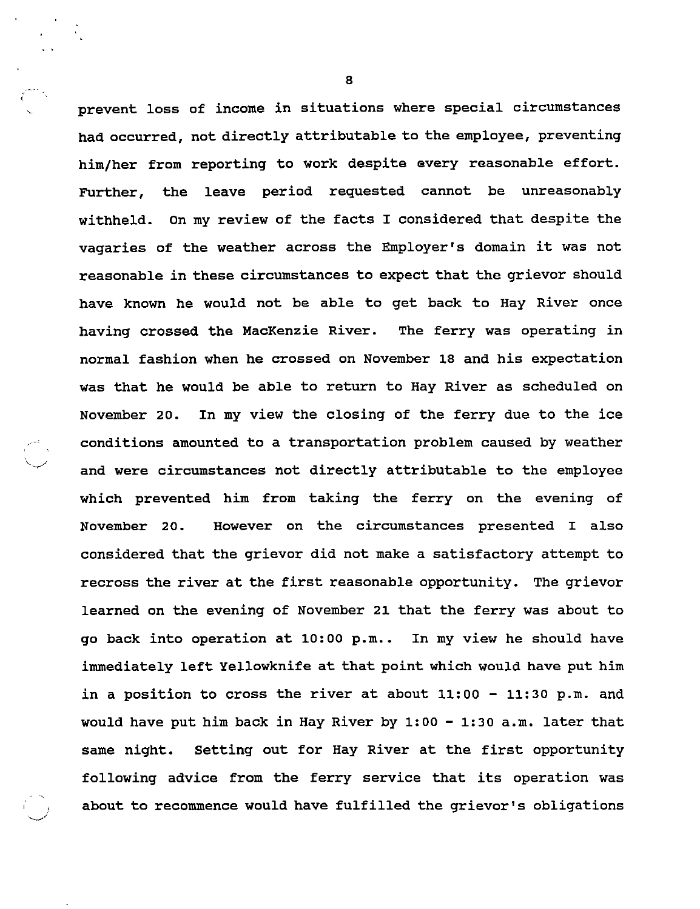prevent loss of income in situations where special circumstances had occurred, not directly attributable to the employee, preventing him/her from reporting to work despite every reasonable effort. Further, the leave period requested cannot be unreasonably withheld. On my review of the facts <sup>I</sup> considered that despite the vagaries of the weather across the Employer's domain it was not reasonable in these circumstances to expect that the grievor should have known he would not be able to get back to Hay River once having crossed the MacKenzie River. The ferry was operating in normal fashion when he crossed on November 18 and his expectation was that he would be able to return to Hay River as scheduled on November 20. In my view the closing of the ferry due to the ice conditions amounted to <sup>a</sup> transportation problem caused by weather and were circumstances not directly attributable to the employee which prevented him from taking the ferry on the evening of November 20. However on the circumstances presented <sup>I</sup> also considered that the grievor did not make <sup>a</sup> satisfactory attempt to recross the river at the first reasonable opportunity. The grievor learned on the evening of November 21 that the ferry was about to go back into operation at 10:00 p.m.. In my view he should have immediately left Yellowknife at that point which would have put him in a position to cross the river at about  $11:00 - 11:30$  p.m. and would have put him back in Hay River by 1:00 - 1:30 a.m. later that same night. Setting out for Hay River at the first opportunity following advice from the ferry service that its operation was about to recommence would have fulfilled the grievor's obligations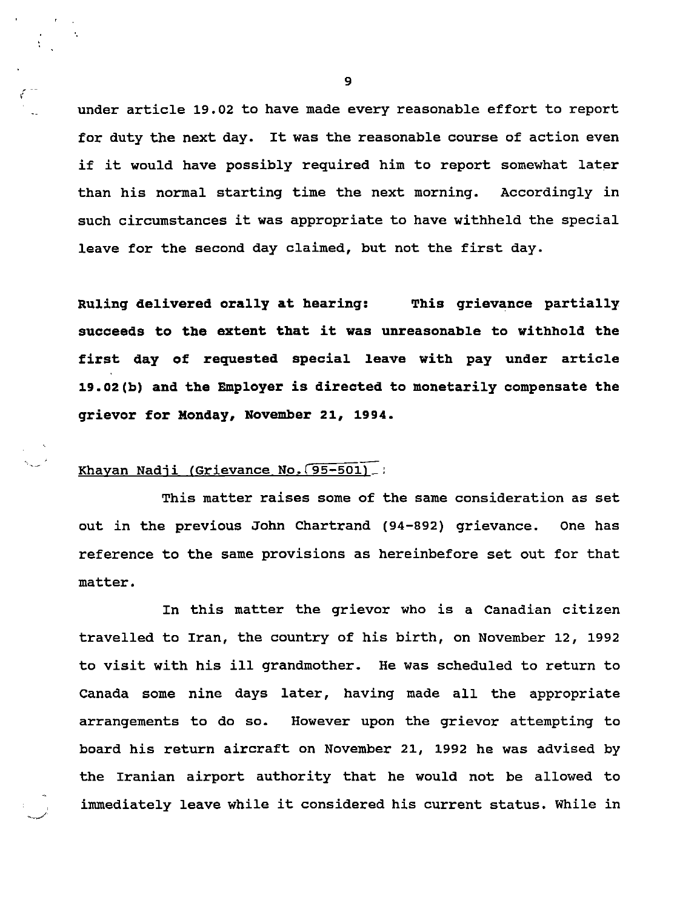under article 19.02 to have made every reasonable effort to report for duty the next day. It was the reasonable course of action even if it would have possibly required him to report somewhat later than his normal starting time the next morning. Accordingly in such circumstances it was appropriate to have withheld the special leave for the second day claimed, but not the first day.

Ruling delivered orally at hearing: This grievance partially succeeds to the extent that it was unreasonable to withhold the first day of requested special leave with pay under article 19.02(b) and the Employer is directed to monetarily compensate the grievor for Monday, November 21, 1994.

# Khayan Nadji (Grievance No. [95-501] .:

 $\mathcal{L}_{\mathcal{L}}$ 

This matter raises some of the same consideration as set out in the previous John Chartrand (94-892) grievance. One has reference to the same provisions as hereinbefore set out for that matter.

In this matter the grievor who is <sup>a</sup> Canadian citizen travelled to Iran, the country of his birth, on November 12, 1992 to visit with his ill grandmother. He was scheduled to return to Canada some nine days later, having made all the appropriate arrangements to do so. However upon the grievor attempting to board his return aircraft on November 21, 1992 he was advised by the Iranian airport authority that he would not be allowed to immediately leave while it considered his current status. While in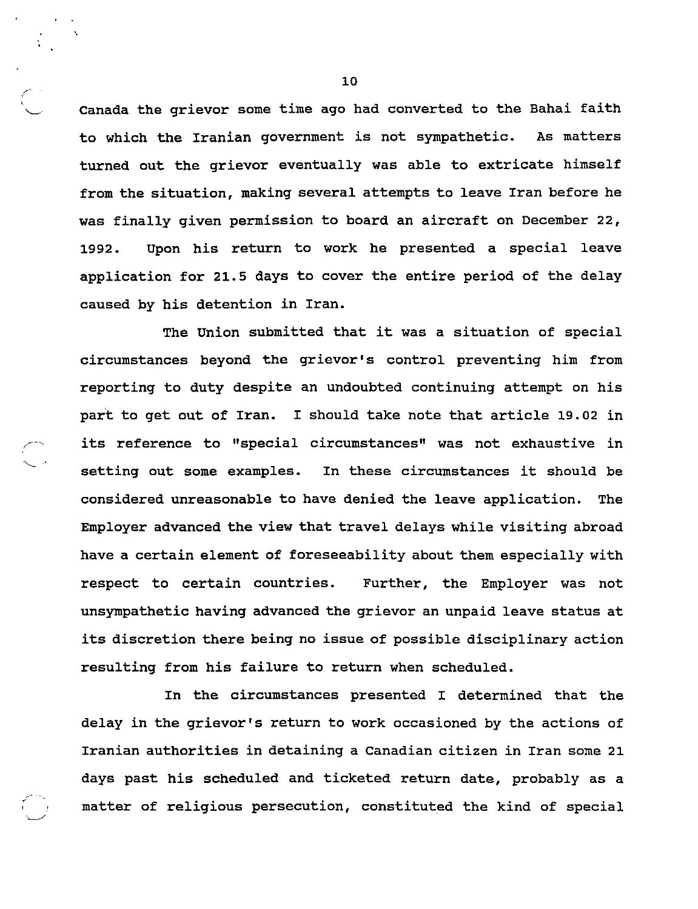Canada the grievor some time ago had converted to the Bahai faith to which the Iranian government is not sympathetic. As matters turned out the grievor eventually was able to extricate himself from the situation, making several attempts to leave Iran before he was finally given permission to board an aircraft on December 22, 1992. Upon his return to work he presented a special leave application for 21.5 days to cover the entire period of the delay caused by his detention in Iran.

The Union submitted that it was <sup>a</sup> situation of special circumstances beyond the grievor's control preventing him from reporting to duty despite an undoubted continuing attempt on his part to get out of Iran. <sup>I</sup> should take note that article 19.02 in its reference to "special circumstances" was not exhaustive in setting out some examples. In these circumstances it should be considered unreasonable to have denied the leave application. The Employer advanced the view that travel delays while visiting abroad have <sup>a</sup> certain element of foreseeability about them especially with respect to certain countries. Further, the Employer was not unsympathetic having advanced the grievor an unpaid leave status at its discretion there being no issue of possible disciplinary action resulting from his failure to return when scheduled.

In the circumstances presented <sup>I</sup> determined that the delay in the grievor's return to work occasioned by the actions of Iranian authorities in detaining <sup>a</sup> Canadian citizen in Iran some 21 days past his scheduled and ticketed return date, probably as <sup>a</sup> matter of religious persecution, constituted the kind of special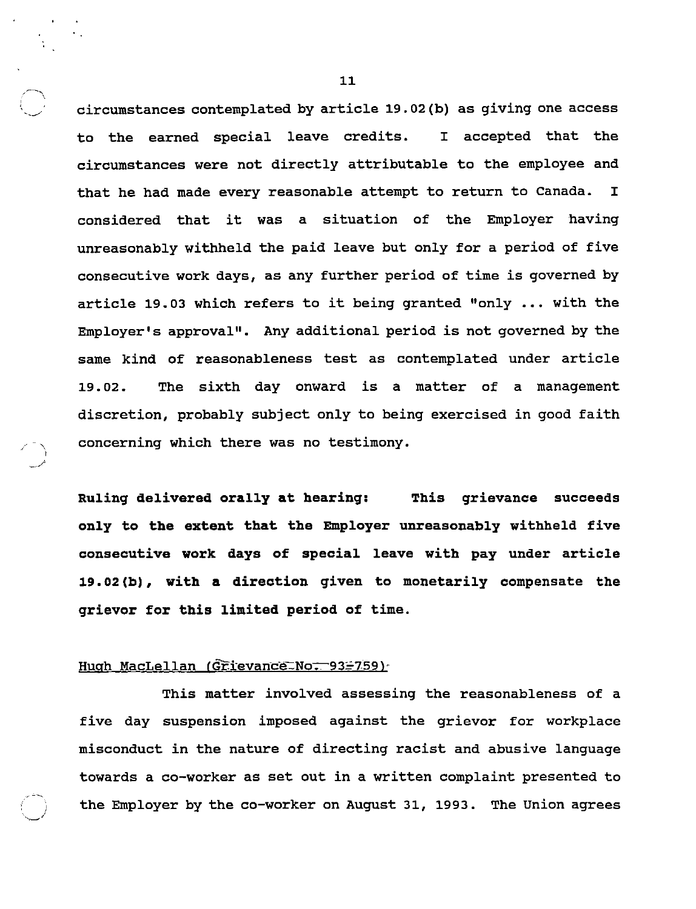circumstances contemplated by article 19.02(b) as giving one access to the earned special leave credits. <sup>I</sup> accepted that the circumstances were not directly attributable to the employee and that he had made every reasonable attempt to return to Canada. <sup>I</sup> considered that it was <sup>a</sup> situation of the Employer having unreasonably withheld the paid leave but only for a period of five consecutive work days, as any further period of time is governed by article 19.03 which refers to it being granted "only ... with the Employer's approval". Any additional period is not governed by the same kind of reasonableness test as contemplated under article 19.02. The sixth day onward is <sup>a</sup> matter of <sup>a</sup> management discretion, probably subject only to being exercised in good faith concerning which there was no testimony.

Ruling delivered orally at hearing: This grievance succeeds only to the extent that the Employer unreasonably withheld five consecutive work days of special leave with pay under article 19.02(b), with <sup>a</sup> direction given to monetarily compensate the grievor for this limited period of time.

#### Hugh MacLellan (Grievance-No. 93=759)-

t ..y-

> This matter involved assessing the reasonableness of <sup>a</sup> five day suspension imposed against the grievor for workplace misconduct in the nature of directing racist and abusive language towards <sup>a</sup> co-worker as set out in <sup>a</sup> written complaint presented to the Employer by the co-worker on August 31, 1993. The Union agrees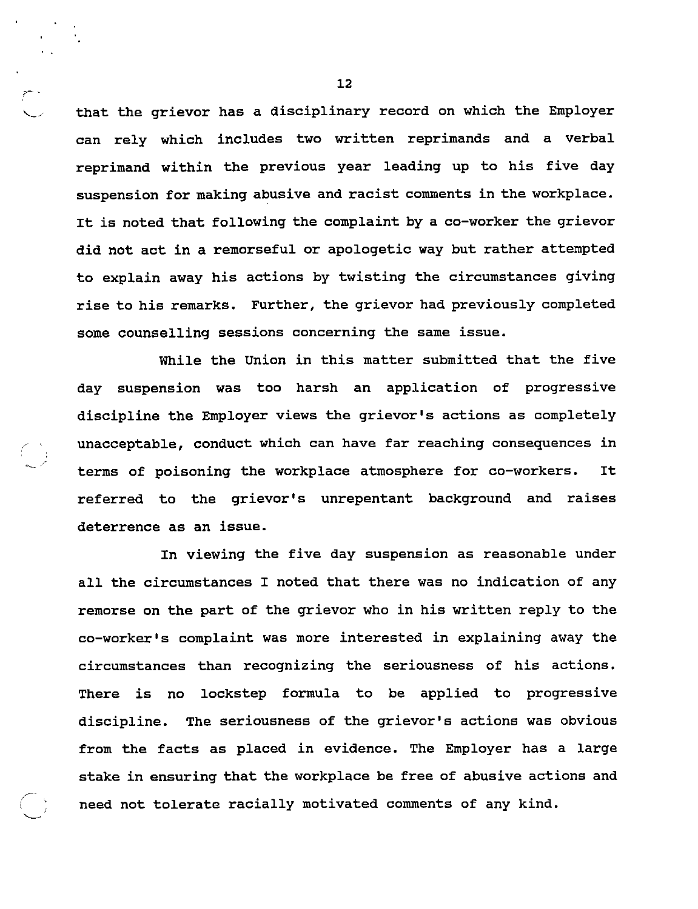that the grievor has a disciplinary record on which the Employer can rely which includes two written reprimands and a verbal reprimand within the previous year leading up to his five day suspension for making abusive and racist comments in the workplace. It is noted that following the complaint by <sup>a</sup> co-worker the grievor did not act in <sup>a</sup> remorseful or apologetic way but rather attempted to explain away his actions by twisting the circumstances giving rise to his remarks. Further, the grievor had previously completed some counselling sessions concerning the same issue.

While the Union in this matter submitted that the five day suspension was too harsh an application of progressive discipline the Employer views the grievor's actions as completely unacceptable, conduct which can have far reaching consequences in terms of poisoning the workplace atmosphere for co-workers. It referred to the grievor's unrepentant background and raises deterrence as an issue.

 $\left(\begin{array}{c} \lambda \\ \lambda \end{array}\right)$ 

In viewing the five day suspension as reasonable under all the circumstances <sup>I</sup> noted that there was no indication of any remorse on the part of the grievor who in his written reply to the co-worker's complaint was more interested in explaining away the circumstances than recognizing the seriousness of his actions. There is no lockstep formula to be applied to progressive discipline. The seriousness of the grievor's actions was obvious from the facts as placed in evidence. The Employer has <sup>a</sup> large stake in ensuring that the workplace be free of abusive actions and need not tolerate racially motivated comments of any kind.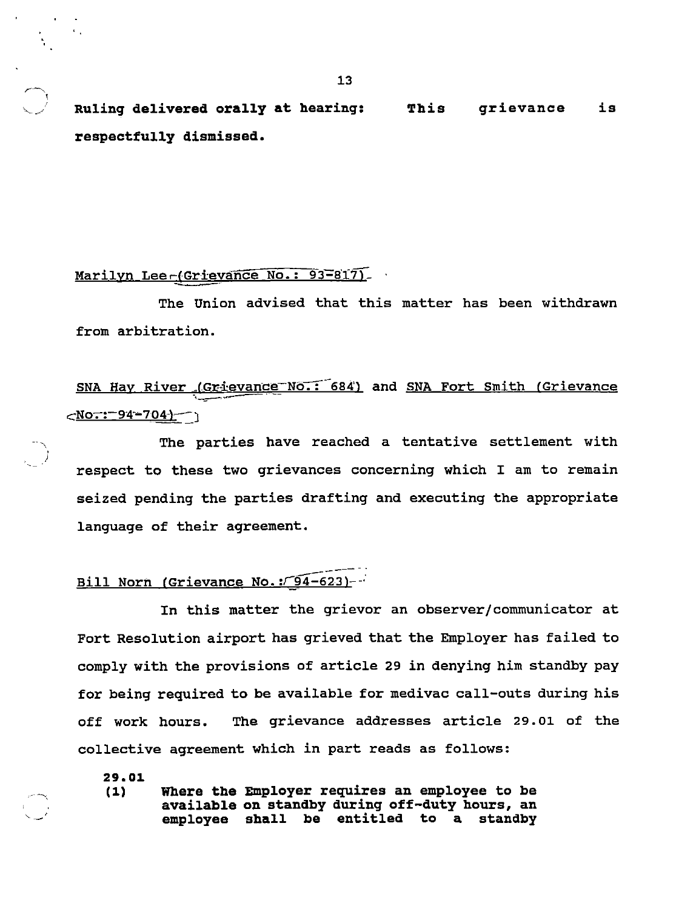Ruling delivered orally at hearing: This grievance is respectfully dismissed.

#### Marilyn Lee-(Grievance No.: 93-817)

The Union advised that this matter has been withdrawn from arbitration.

SNA Hay River (Grievance No.: 684) and SNA Fort Smith (Grievance <u><No<del>.</del>:-94-704}</u>-- ነ

The parties have reached <sup>a</sup> tentative settlement with respect to these two grievances concerning which I am to remain seized pending the parties drafting and executing the appropriate language of their agreement.

# Bill Norn (Grievance No.: 54-623)--

In this matter the grievor an observer/communicator at Fort Resolution airport has grieved that the Employer has failed to comply with the provisions of article <sup>29</sup> in denying him standby pay for being required to be available for medivac call-outs during his off work hours. The grievance addresses article 29.01 of the collective agreement which in part reads as follows:

29.01

 $\overline{\phantom{a}}$ 1

J

(1) Where the Employer requires an employee to be available on standby during off-duty hours, an employee shall be entitled to a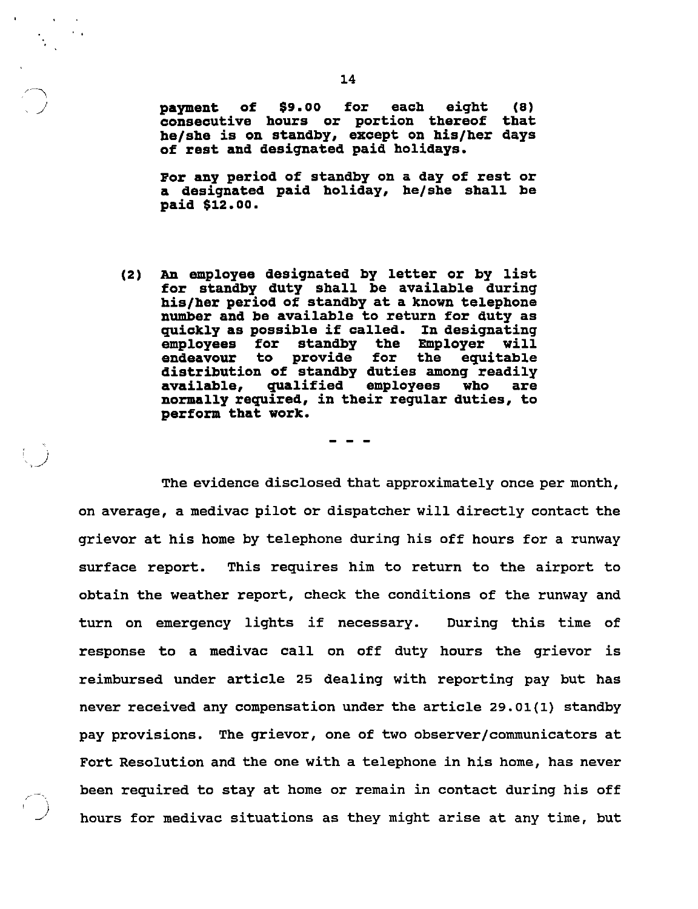payment of \$9.00 for each eight (8) consecutive hours or portion thereof that he/she is on standby, except on his/her days of rest and designated paid holidays.

/

For any period of standby on <sup>a</sup> day of rest or <sup>a</sup> designated paid holiday, he/she shall be paid \$12.00.

(2) An employee designated by letter or by list for standby duty shall be available during his/her period of standby at <sup>a</sup> known telephone number and be available to return for duty as quickly as possible if called. In designating employees for standby the Employer will<br>endeavour to provide for the equitable endeavour to provide for distribution of standby duties among readily<br>available, qualified employees who are available, qualified employees who are normally required, in their regular duties, to perform that work.

The evidence disclosed that approximately once per month, on average, <sup>a</sup> medivac pilot or dispatcher will directly contact the grievor at his home by telephone during his off hours for <sup>a</sup> runway surface report. This requires him to return to the airport to obtain the weather report, check the conditions of the runway and turn on emergency lights if necessary. During this time of response to <sup>a</sup> medivac call on off duty hours the grievor is reimbursed under article 25 dealing with reporting pay but has never received any compensation under the article 29.01(1) standby pay provisions. The grievor, one of two observer/communicators at Fort Resolution and the one with <sup>a</sup> telephone in his home, has never been required to stay at home or remain in contact during his off hours for medivac situations as they might arise at any time, but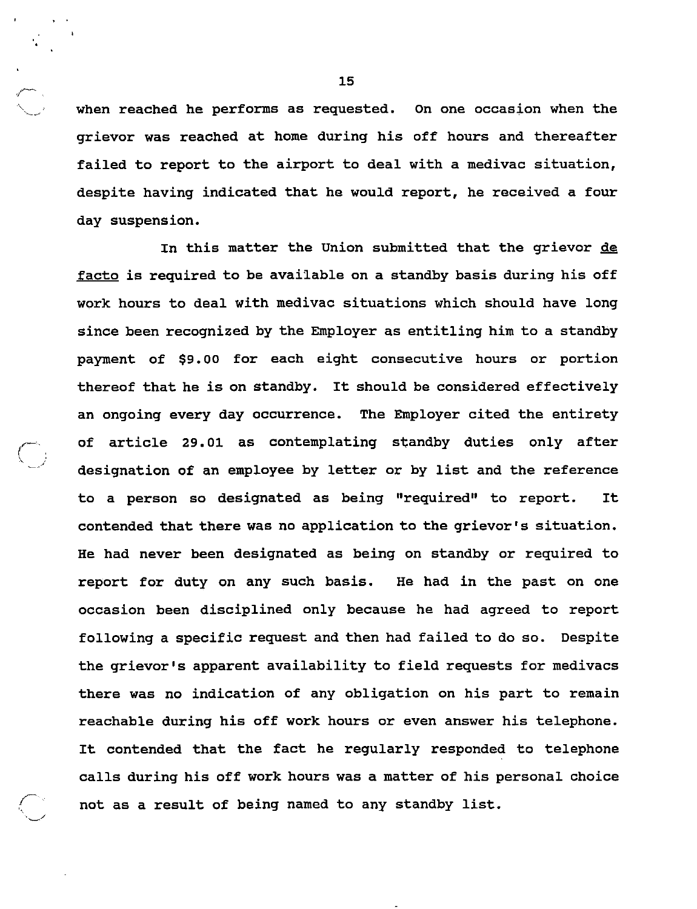when reached he performs as requested. On one occasion when the grievor was reached at home during his off hours and thereafter failed to report to the airport to deal with <sup>a</sup> medivac situation, despite having indicated that he would report, he received <sup>a</sup> four day suspension.

In this matter the Union submitted that the grievor de facto is required to be available on <sup>a</sup> standby basis during his off work hours to deal with medivac situations which should have long since been recognized by the Employer as entitling him to <sup>a</sup> standby payment of \$9.00 for each eight consecutive hours or portion thereof that he is on standby. It should be considered effectively an ongoing every day occurrence. The Employer cited the entirety of article 29.01 as contemplating standby duties only after designation of an employee by letter or by list and the reference to <sup>a</sup> person so designated as being "required" to report. It contended that there was no application to the grievor's situation. He had never been designated as being on standby or required to report for duty on any such basis. He had in the past on one occasion been disciplined only because he had agreed to report following <sup>a</sup> specific request and then had failed to do so. Despite the grievor's apparent availability to field requests for medivacs there was no indication of any obligation on his part to remain reachable during his off work hours or even answer his telephone. It contended that the fact he regularly responded to telephone calls during his off work hours was <sup>a</sup> matter of his personal choice not as <sup>a</sup> result of being named to any standby list.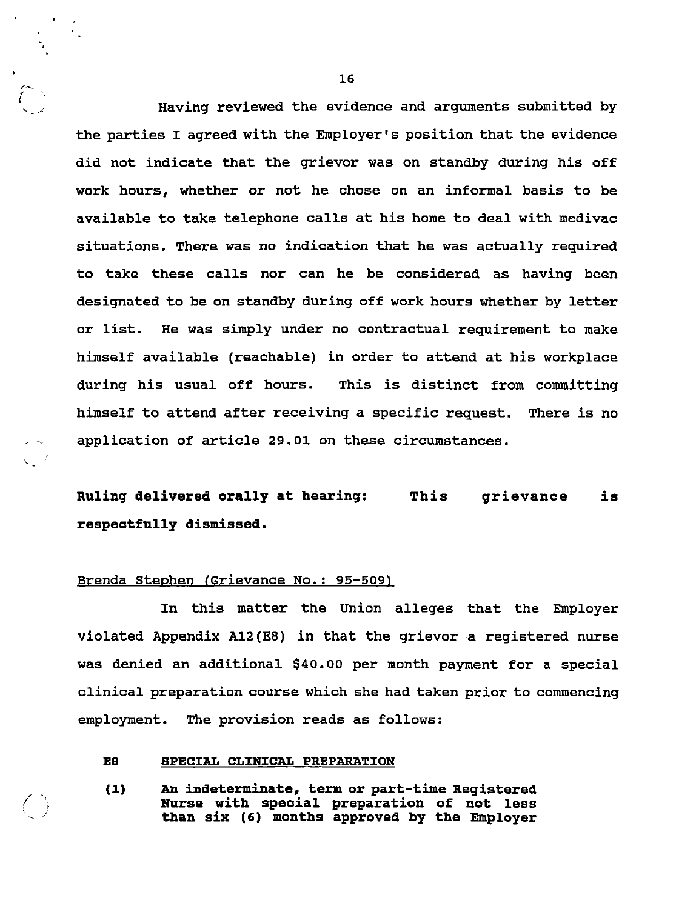Having reviewed the evidence and arguments submitted by the parties <sup>I</sup> agreed with the Employer's position that the evidence did not indicate that the grievor was on standby during his off work hours, whether or not he chose on an informal basis to be available to take telephone calls at his home to deal with medivac situations. There was no indication that he was actually required to take these calls nor can he be considered as having been designated to be on standby during off work hours whether by letter or list. He was simply under no contractual requirement to make himself available (reachable) in order to attend at his workplace during his usual off hours. This is distinct from committing himself to attend after receiving <sup>a</sup> specific request. There is no application of article 29.01 on these circumstances.

# Ruling delivered orally at hearing: This grievance is respectfully dismissed.

#### Brenda Stephen (Grievance No.: 95-509)

In this matter the Union alleges that the Employer violated Appendix A12(E8) in that the grievor <sup>a</sup> registered nurse was denied an additional \$40.00 per month payment for a special clinical preparation course which she had taken prior to commencing employment. The provision reads as follows:

#### E8 SPECIAL CLINICAL PREPARATION

(1) An indeterminate, term or part-time Registered than six (6) months approved by the Employer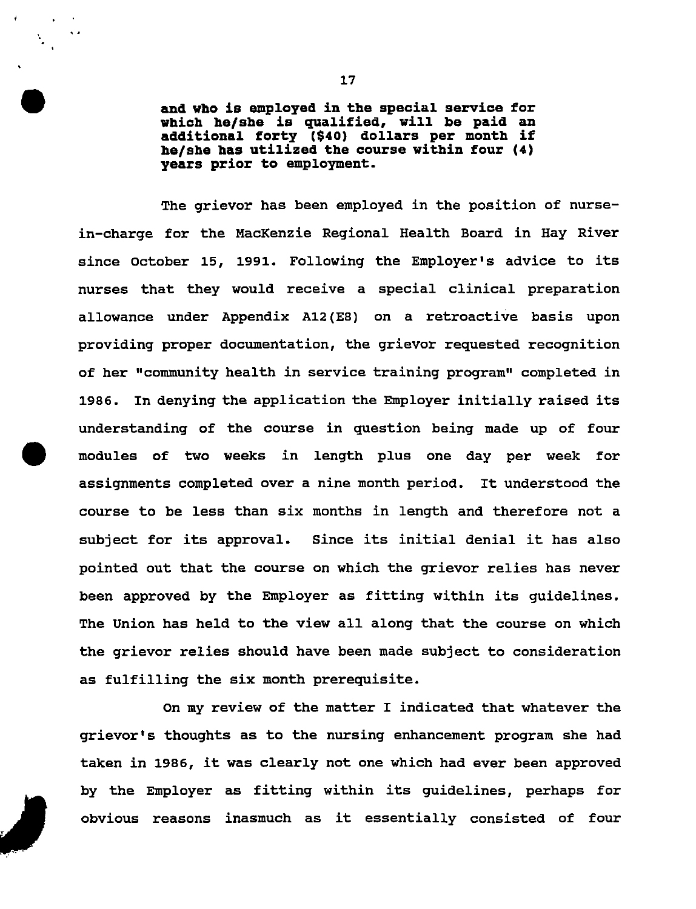and who is employed in the special service for which he/she is qualified, will be paid an additional forty (\$40) dollars per month if he/she has utilized the course within four (4) years prior to employment.

The grievor has been employed in the position of nursein-charge for the MacKenzie Regional Health Board in Hay River since October 15, 1991. Following the Employer's advice to its nurses that they would receive <sup>a</sup> special clinical preparation allowance under Appendix A12(E8) on <sup>a</sup> retroactive basis upon providing proper documentation, the grievor requested recognition of her "community health in service training program" completed in 1986. In denying the application the Employer initially raised its understanding of the course in question being made up of four modules of two weeks in length plus one day per week for assignments completed over <sup>a</sup> nine month period. It understood the course to be less than six months in length and therefore not <sup>a</sup> subject for its approval. Since its initial denial it has also pointed out that the course on which the grievor relies has never been approved by the Employer as fitting within its guidelines. The Union has held to the view all along that the course on which the grievor relies should have been made subject to consideration as fulfilling the six month prerequisite.

On my review of the matter <sup>I</sup> indicated that whatever the grievor's thoughts as to the nursing enhancement program she had taken in 1986, it was clearly not one which had ever been approved by the Employer as fitting within its guidelines, perhaps for obvious reasons inasmuch as it essentially consisted of four

s